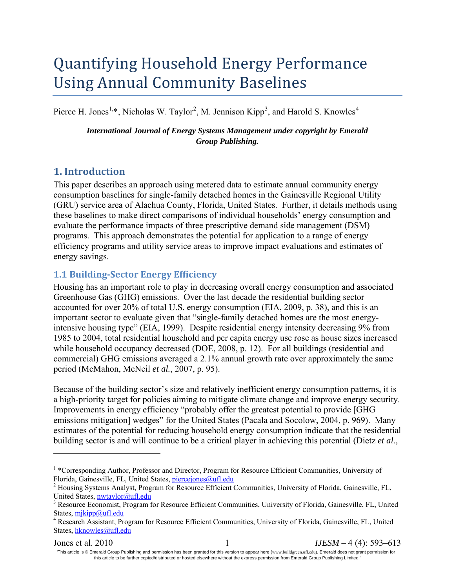# Quantifying Household Energy Performance Using Annual Community Baselines

Pierce H. Jones<sup>[1,](#page-0-0)\*</sup>, Nicholas W. Taylor<sup>[2](#page-0-1)</sup>, M. Jennison Kipp<sup>[3](#page-0-2)</sup>, and Harold S. Knowles<sup>[4](#page-0-3)</sup>

*International Journal of Energy Systems Management under copyright by Emerald Group Publishing.*

# **1. Introduction**

 $\overline{a}$ 

This paper describes an approach using metered data to estimate annual community energy consumption baselines for single-family detached homes in the Gainesville Regional Utility (GRU) service area of Alachua County, Florida, United States. Further, it details methods using these baselines to make direct comparisons of individual households' energy consumption and evaluate the performance impacts of three prescriptive demand side management (DSM) programs. This approach demonstrates the potential for application to a range of energy efficiency programs and utility service areas to improve impact evaluations and estimates of energy savings.

# **1.1 Building-Sector Energy Efficiency**

Housing has an important role to play in decreasing overall energy consumption and associated Greenhouse Gas (GHG) emissions. Over the last decade the residential building sector accounted for over 20% of total U.S. energy consumption (EIA, 2009, p. 38), and this is an important sector to evaluate given that "single-family detached homes are the most energyintensive housing type" (EIA, 1999). Despite residential energy intensity decreasing 9% from 1985 to 2004, total residential household and per capita energy use rose as house sizes increased while household occupancy decreased (DOE, 2008, p. 12). For all buildings (residential and commercial) GHG emissions averaged a 2.1% annual growth rate over approximately the same period (McMahon, McNeil *et al.*, 2007, p. 95).

Because of the building sector's size and relatively inefficient energy consumption patterns, it is a high-priority target for policies aiming to mitigate climate change and improve energy security. Improvements in energy efficiency "probably offer the greatest potential to provide [GHG emissions mitigation] wedges" for the United States (Pacala and Socolow, 2004, p. 969). Many estimates of the potential for reducing household energy consumption indicate that the residential building sector is and will continue to be a critical player in achieving this potential (Dietz *et al.*,

Jones et al. 2010 1 *IJESM* – 4 (4): 593–613 'This article is © Emerald Group Publishing and permission has been granted for this version to appear here (www[.buildgreen.ufl.edu](http://www.emeraldinsight.com/)). Emerald does not grant permission for

this article to be further copied/distributed or hosted elsewhere without the express permission from Emerald Group Publishing Limited.'

<span id="page-0-0"></span><sup>1</sup> \*Corresponding Author, Professor and Director, Program for Resource Efficient Communities, University of Florida, Gainesville, FL, United States, *piercejones@ufl.edu*<br><sup>2</sup> Housing Systems Analyst, Program for Resource Efficient Communities, University of Florida, Gainesville, FL,

<span id="page-0-1"></span>

<span id="page-0-2"></span>United States, nutaylor@ufl.edu<br>
<sup>3</sup> Resource Economist, Program for Resource Efficient Communities, University of Florida, Gainesville, FL, United<br>
States, mikipp@ufl.edu

<span id="page-0-3"></span><sup>&</sup>lt;sup>4</sup> Research Assistant, Program for Resource Efficient Communities, University of Florida, Gainesville, FL, United States, [hknowles@ufl.edu](mailto:hknowles@ufl.edu)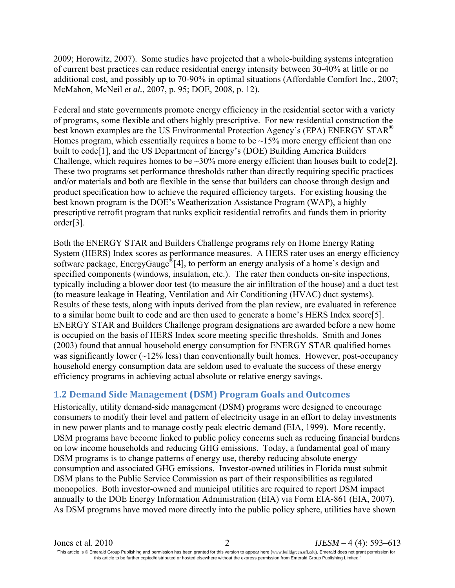2009; Horowitz, 2007). Some studies have projected that a whole-building systems integration of current best practices can reduce residential energy intensity between 30-40% at little or no additional cost, and possibly up to 70-90% in optimal situations (Affordable Comfort Inc., 2007; McMahon, McNeil *et al.*, 2007, p. 95; DOE, 2008, p. 12).

Federal and state governments promote energy efficiency in the residential sector with a variety of programs, some flexible and others highly prescriptive. For new residential construction the best known examples are the US Environmental Protection Agency's (EPA) ENERGY STAR<sup>®</sup> Homes program, which essentially requires a home to be  $\sim$ 15% more energy efficient than one built to code[1], and the US Department of Energy's (DOE) Building America Builders Challenge, which requires homes to be  $\sim$ 30% more energy efficient than houses built to code[2]. These two programs set performance thresholds rather than directly requiring specific practices and/or materials and both are flexible in the sense that builders can choose through design and product specification how to achieve the required efficiency targets. For existing housing the best known program is the DOE's Weatherization Assistance Program (WAP), a highly prescriptive retrofit program that ranks explicit residential retrofits and funds them in priority order[3].

Both the ENERGY STAR and Builders Challenge programs rely on Home Energy Rating System (HERS) Index scores as performance measures. A HERS rater uses an energy efficiency software package, EnergyGauge<sup>®</sup>[4], to perform an energy analysis of a home's design and specified components (windows, insulation, etc.). The rater then conducts on-site inspections, typically including a blower door test (to measure the air infiltration of the house) and a duct test (to measure leakage in Heating, Ventilation and Air Conditioning (HVAC) duct systems). Results of these tests, along with inputs derived from the plan review, are evaluated in reference to a similar home built to code and are then used to generate a home's HERS Index score[5]. ENERGY STAR and Builders Challenge program designations are awarded before a new home is occupied on the basis of HERS Index score meeting specific thresholds. Smith and Jones (2003) found that annual household energy consumption for ENERGY STAR qualified homes was significantly lower  $(\sim 12\%$  less) than conventionally built homes. However, post-occupancy household energy consumption data are seldom used to evaluate the success of these energy efficiency programs in achieving actual absolute or relative energy savings.

# **1.2 Demand Side Management (DSM) Program Goals and Outcomes**

Historically, utility demand-side management (DSM) programs were designed to encourage consumers to modify their level and pattern of electricity usage in an effort to delay investments in new power plants and to manage costly peak electric demand (EIA, 1999). More recently, DSM programs have become linked to public policy concerns such as reducing financial burdens on low income households and reducing GHG emissions. Today, a fundamental goal of many DSM programs is to change patterns of energy use, thereby reducing absolute energy consumption and associated GHG emissions. Investor-owned utilities in Florida must submit DSM plans to the Public Service Commission as part of their responsibilities as regulated monopolies. Both investor-owned and municipal utilities are required to report DSM impact annually to the DOE Energy Information Administration (EIA) via Form EIA-861 (EIA, 2007). As DSM programs have moved more directly into the public policy sphere, utilities have shown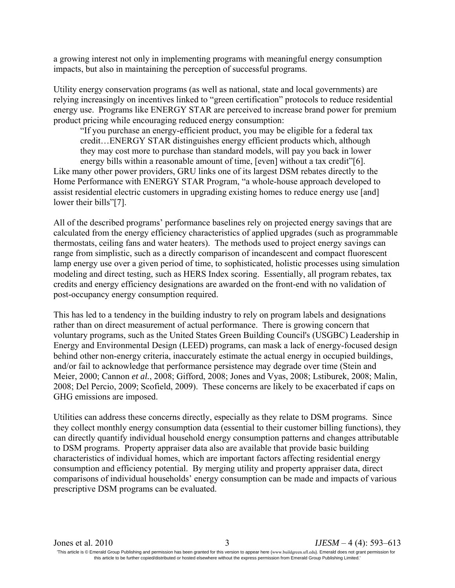a growing interest not only in implementing programs with meaningful energy consumption impacts, but also in maintaining the perception of successful programs.

Utility energy conservation programs (as well as national, state and local governments) are relying increasingly on incentives linked to "green certification" protocols to reduce residential energy use. Programs like ENERGY STAR are perceived to increase brand power for premium product pricing while encouraging reduced energy consumption:

"If you purchase an energy-efficient product, you may be eligible for a federal tax credit…ENERGY STAR distinguishes energy efficient products which, although they may cost more to purchase than standard models, will pay you back in lower energy bills within a reasonable amount of time, [even] without a tax credit"[6].

Like many other power providers, GRU links one of its largest DSM rebates directly to the Home Performance with ENERGY STAR Program, "a whole-house approach developed to assist residential electric customers in upgrading existing homes to reduce energy use [and] lower their bills"[7].

All of the described programs' performance baselines rely on projected energy savings that are calculated from the energy efficiency characteristics of applied upgrades (such as programmable thermostats, ceiling fans and water heaters). The methods used to project energy savings can range from simplistic, such as a directly comparison of incandescent and compact fluorescent lamp energy use over a given period of time, to sophisticated, holistic processes using simulation modeling and direct testing, such as HERS Index scoring. Essentially, all program rebates, tax credits and energy efficiency designations are awarded on the front-end with no validation of post-occupancy energy consumption required.

This has led to a tendency in the building industry to rely on program labels and designations rather than on direct measurement of actual performance. There is growing concern that voluntary programs, such as the United States Green Building Council's (USGBC) Leadership in Energy and Environmental Design (LEED) programs, can mask a lack of energy-focused design behind other non-energy criteria, inaccurately estimate the actual energy in occupied buildings, and/or fail to acknowledge that performance persistence may degrade over time (Stein and Meier, 2000; Cannon *et al.*, 2008; Gifford, 2008; Jones and Vyas, 2008; Lstiburek, 2008; Malin, 2008; Del Percio, 2009; Scofield, 2009). These concerns are likely to be exacerbated if caps on GHG emissions are imposed.

Utilities can address these concerns directly, especially as they relate to DSM programs. Since they collect monthly energy consumption data (essential to their customer billing functions), they can directly quantify individual household energy consumption patterns and changes attributable to DSM programs. Property appraiser data also are available that provide basic building characteristics of individual homes, which are important factors affecting residential energy consumption and efficiency potential. By merging utility and property appraiser data, direct comparisons of individual households' energy consumption can be made and impacts of various prescriptive DSM programs can be evaluated.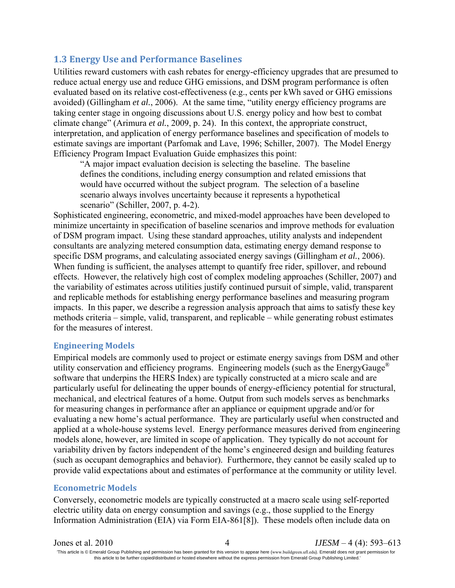# **1.3 Energy Use and Performance Baselines**

Utilities reward customers with cash rebates for energy-efficiency upgrades that are presumed to reduce actual energy use and reduce GHG emissions, and DSM program performance is often evaluated based on its relative cost-effectiveness (e.g., cents per kWh saved or GHG emissions avoided) (Gillingham *et al.*, 2006). At the same time, "utility energy efficiency programs are taking center stage in ongoing discussions about U.S. energy policy and how best to combat climate change" (Arimura *et al.*, 2009, p. 24). In this context, the appropriate construct, interpretation, and application of energy performance baselines and specification of models to estimate savings are important (Parfomak and Lave, 1996; Schiller, 2007). The Model Energy Efficiency Program Impact Evaluation Guide emphasizes this point:

"A major impact evaluation decision is selecting the baseline. The baseline defines the conditions, including energy consumption and related emissions that would have occurred without the subject program. The selection of a baseline scenario always involves uncertainty because it represents a hypothetical scenario" (Schiller, 2007, p. 4-2).

Sophisticated engineering, econometric, and mixed-model approaches have been developed to minimize uncertainty in specification of baseline scenarios and improve methods for evaluation of DSM program impact. Using these standard approaches, utility analysts and independent consultants are analyzing metered consumption data, estimating energy demand response to specific DSM programs, and calculating associated energy savings (Gillingham *et al.*, 2006). When funding is sufficient, the analyses attempt to quantify free rider, spillover, and rebound effects. However, the relatively high cost of complex modeling approaches (Schiller, 2007) and the variability of estimates across utilities justify continued pursuit of simple, valid, transparent and replicable methods for establishing energy performance baselines and measuring program impacts. In this paper, we describe a regression analysis approach that aims to satisfy these key methods criteria – simple, valid, transparent, and replicable – while generating robust estimates for the measures of interest.

### **Engineering Models**

Empirical models are commonly used to project or estimate energy savings from DSM and other utility conservation and efficiency programs. Engineering models (such as the EnergyGauge<sup>®</sup> software that underpins the HERS Index) are typically constructed at a micro scale and are particularly useful for delineating the upper bounds of energy-efficiency potential for structural, mechanical, and electrical features of a home. Output from such models serves as benchmarks for measuring changes in performance after an appliance or equipment upgrade and/or for evaluating a new home's actual performance. They are particularly useful when constructed and applied at a whole-house systems level. Energy performance measures derived from engineering models alone, however, are limited in scope of application. They typically do not account for variability driven by factors independent of the home's engineered design and building features (such as occupant demographics and behavior). Furthermore, they cannot be easily scaled up to provide valid expectations about and estimates of performance at the community or utility level.

#### **Econometric Models**

Conversely, econometric models are typically constructed at a macro scale using self-reported electric utility data on energy consumption and savings (e.g., those supplied to the Energy Information Administration (EIA) via Form EIA-861[8]). These models often include data on

Jones et al. 2010 4 *IJESM* – 4 (4): 593–613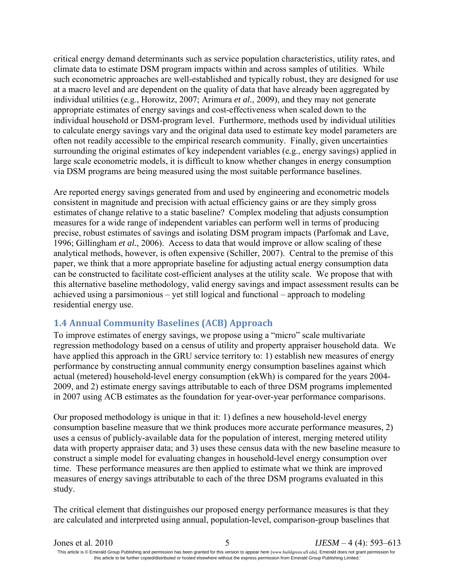critical energy demand determinants such as service population characteristics, utility rates, and climate data to estimate DSM program impacts within and across samples of utilities. While such econometric approaches are well-established and typically robust, they are designed for use at a macro level and are dependent on the quality of data that have already been aggregated by individual utilities (e.g., Horowitz, 2007; Arimura *et al.*, 2009), and they may not generate appropriate estimates of energy savings and cost-effectiveness when scaled down to the individual household or DSM-program level. Furthermore, methods used by individual utilities to calculate energy savings vary and the original data used to estimate key model parameters are often not readily accessible to the empirical research community. Finally, given uncertainties surrounding the original estimates of key independent variables (e.g., energy savings) applied in large scale econometric models, it is difficult to know whether changes in energy consumption via DSM programs are being measured using the most suitable performance baselines.

Are reported energy savings generated from and used by engineering and econometric models consistent in magnitude and precision with actual efficiency gains or are they simply gross estimates of change relative to a static baseline? Complex modeling that adjusts consumption measures for a wide range of independent variables can perform well in terms of producing precise, robust estimates of savings and isolating DSM program impacts (Parfomak and Lave, 1996; Gillingham *et al.*, 2006). Access to data that would improve or allow scaling of these analytical methods, however, is often expensive (Schiller, 2007). Central to the premise of this paper, we think that a more appropriate baseline for adjusting actual energy consumption data can be constructed to facilitate cost-efficient analyses at the utility scale. We propose that with this alternative baseline methodology, valid energy savings and impact assessment results can be achieved using a parsimonious – yet still logical and functional – approach to modeling residential energy use.

### **1.4 Annual Community Baselines (ACB) Approach**

To improve estimates of energy savings, we propose using a "micro" scale multivariate regression methodology based on a census of utility and property appraiser household data. We have applied this approach in the GRU service territory to: 1) establish new measures of energy performance by constructing annual community energy consumption baselines against which actual (metered) household-level energy consumption (ekWh) is compared for the years 2004- 2009, and 2) estimate energy savings attributable to each of three DSM programs implemented in 2007 using ACB estimates as the foundation for year-over-year performance comparisons.

Our proposed methodology is unique in that it: 1) defines a new household-level energy consumption baseline measure that we think produces more accurate performance measures, 2) uses a census of publicly-available data for the population of interest, merging metered utility data with property appraiser data; and 3) uses these census data with the new baseline measure to construct a simple model for evaluating changes in household-level energy consumption over time. These performance measures are then applied to estimate what we think are improved measures of energy savings attributable to each of the three DSM programs evaluated in this study.

The critical element that distinguishes our proposed energy performance measures is that they are calculated and interpreted using annual, population-level, comparison-group baselines that

| Jones et al. 2010                                                                                                                                                          | $IJESM - 4(4)$ : 593–613 |
|----------------------------------------------------------------------------------------------------------------------------------------------------------------------------|--------------------------|
| This article is © Emerald Group Publishing and permission has been granted for this version to appear here (www.buildgreen.ufl.edu). Emerald does not grant permission for |                          |
| this article to be further copied/distributed or hosted elsewhere without the express permission from Emerald Group Publishing Limited.                                    |                          |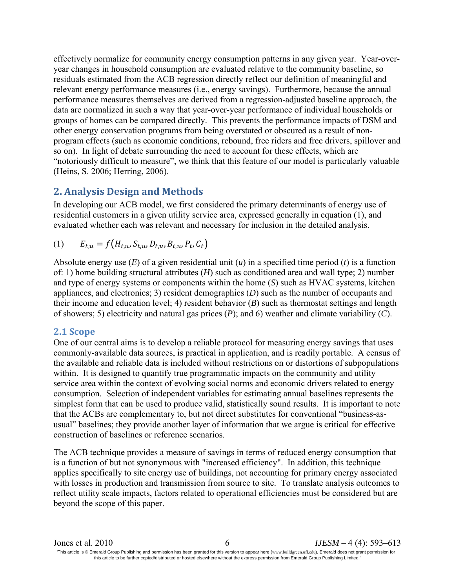effectively normalize for community energy consumption patterns in any given year. Year-overyear changes in household consumption are evaluated relative to the community baseline, so residuals estimated from the ACB regression directly reflect our definition of meaningful and relevant energy performance measures (i.e., energy savings). Furthermore, because the annual performance measures themselves are derived from a regression-adjusted baseline approach, the data are normalized in such a way that year-over-year performance of individual households or groups of homes can be compared directly. This prevents the performance impacts of DSM and other energy conservation programs from being overstated or obscured as a result of nonprogram effects (such as economic conditions, rebound, free riders and free drivers, spillover and so on). In light of debate surrounding the need to account for these effects, which are "notoriously difficult to measure", we think that this feature of our model is particularly valuable (Heins, S. 2006; Herring, 2006).

# **2. Analysis Design and Methods**

In developing our ACB model, we first considered the primary determinants of energy use of residential customers in a given utility service area, expressed generally in equation (1), and evaluated whether each was relevant and necessary for inclusion in the detailed analysis.

(1) 
$$
E_{t,u} = f(H_{t,u}, S_{t,u}, D_{t,u}, B_{t,u}, P_t, C_t)
$$

Absolute energy use (*E*) of a given residential unit (*u*) in a specified time period (*t*) is a function of: 1) home building structural attributes (*H*) such as conditioned area and wall type; 2) number and type of energy systems or components within the home (*S*) such as HVAC systems, kitchen appliances, and electronics; 3) resident demographics (*D*) such as the number of occupants and their income and education level; 4) resident behavior (*B*) such as thermostat settings and length of showers; 5) electricity and natural gas prices (*P*); and 6) weather and climate variability (*C*).

### **2.1 Scope**

One of our central aims is to develop a reliable protocol for measuring energy savings that uses commonly-available data sources, is practical in application, and is readily portable. A census of the available and reliable data is included without restrictions on or distortions of subpopulations within. It is designed to quantify true programmatic impacts on the community and utility service area within the context of evolving social norms and economic drivers related to energy consumption. Selection of independent variables for estimating annual baselines represents the simplest form that can be used to produce valid, statistically sound results. It is important to note that the ACBs are complementary to, but not direct substitutes for conventional "business-asusual" baselines; they provide another layer of information that we argue is critical for effective construction of baselines or reference scenarios.

The ACB technique provides a measure of savings in terms of reduced energy consumption that is a function of but not synonymous with "increased efficiency". In addition, this technique applies specifically to site energy use of buildings, not accounting for primary energy associated with losses in production and transmission from source to site. To translate analysis outcomes to reflect utility scale impacts, factors related to operational efficiencies must be considered but are beyond the scope of this paper.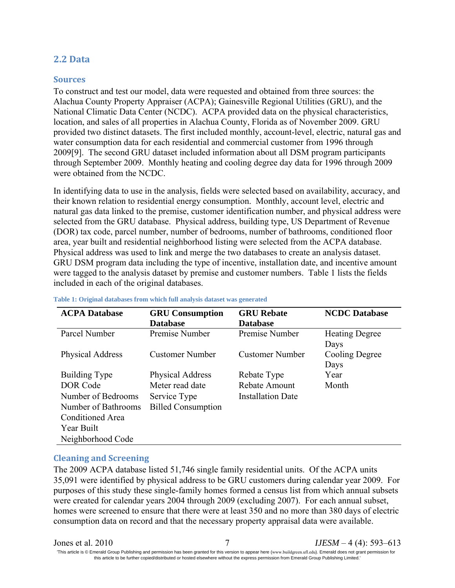### **2.2 Data**

#### **Sources**

To construct and test our model, data were requested and obtained from three sources: the Alachua County Property Appraiser (ACPA); Gainesville Regional Utilities (GRU), and the National Climatic Data Center (NCDC). ACPA provided data on the physical characteristics, location, and sales of all properties in Alachua County, Florida as of November 2009. GRU provided two distinct datasets. The first included monthly, account-level, electric, natural gas and water consumption data for each residential and commercial customer from 1996 through 2009[9]. The second GRU dataset included information about all DSM program participants through September 2009. Monthly heating and cooling degree day data for 1996 through 2009 were obtained from the NCDC.

In identifying data to use in the analysis, fields were selected based on availability, accuracy, and their known relation to residential energy consumption. Monthly, account level, electric and natural gas data linked to the premise, customer identification number, and physical address were selected from the GRU database. Physical address, building type, US Department of Revenue (DOR) tax code, parcel number, number of bedrooms, number of bathrooms, conditioned floor area, year built and residential neighborhood listing were selected from the ACPA database. Physical address was used to link and merge the two databases to create an analysis dataset. GRU DSM program data including the type of incentive, installation date, and incentive amount were tagged to the analysis dataset by premise and customer numbers. Table 1 lists the fields included in each of the original databases.

| <b>ACPA Database</b> | <b>GRU</b> Consumption    | <b>GRU Rebate</b>        | <b>NCDC</b> Database  |
|----------------------|---------------------------|--------------------------|-----------------------|
|                      | <b>Database</b>           | <b>Database</b>          |                       |
| Parcel Number        | Premise Number            | Premise Number           | <b>Heating Degree</b> |
|                      |                           |                          | Days                  |
| Physical Address     | <b>Customer Number</b>    | <b>Customer Number</b>   | Cooling Degree        |
|                      |                           |                          | Days                  |
| <b>Building Type</b> | <b>Physical Address</b>   | Rebate Type              | Year                  |
| DOR Code             | Meter read date           | Rebate Amount            | Month                 |
| Number of Bedrooms   | Service Type              | <b>Installation Date</b> |                       |
| Number of Bathrooms  | <b>Billed Consumption</b> |                          |                       |
| Conditioned Area     |                           |                          |                       |
| Year Built           |                           |                          |                       |
| Neighborhood Code    |                           |                          |                       |

#### **Table 1: Original databases from which full analysis dataset was generated**

### **Cleaning and Screening**

The 2009 ACPA database listed 51,746 single family residential units. Of the ACPA units 35,091 were identified by physical address to be GRU customers during calendar year 2009. For purposes of this study these single-family homes formed a census list from which annual subsets were created for calendar years 2004 through 2009 (excluding 2007). For each annual subset, homes were screened to ensure that there were at least 350 and no more than 380 days of electric consumption data on record and that the necessary property appraisal data were available.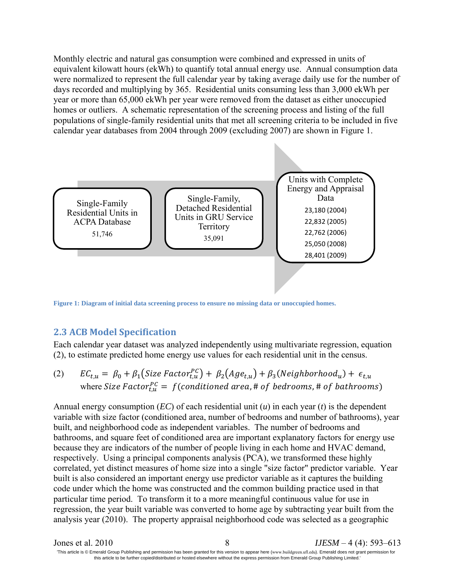Monthly electric and natural gas consumption were combined and expressed in units of equivalent kilowatt hours (ekWh) to quantify total annual energy use. Annual consumption data were normalized to represent the full calendar year by taking average daily use for the number of days recorded and multiplying by 365. Residential units consuming less than 3,000 ekWh per year or more than 65,000 ekWh per year were removed from the dataset as either unoccupied homes or outliers. A schematic representation of the screening process and listing of the full populations of single-family residential units that met all screening criteria to be included in five calendar year databases from 2004 through 2009 (excluding 2007) are shown in Figure 1.



**Figure 1: Diagram of initial data screening process to ensure no missing data or unoccupied homes.**

### **2.3 ACB Model Specification**

Each calendar year dataset was analyzed independently using multivariate regression, equation (2), to estimate predicted home energy use values for each residential unit in the census.

(2) 
$$
EC_{t,u} = \beta_0 + \beta_1 (Size Factor_{t,u}^{PC}) + \beta_2 (Age_{t,u}) + \beta_3 (Neighbourhood_u) + \epsilon_{t,u}
$$
  
where *Size Factor*<sub>t,u</sub><sup>PC</sup> = *f*(conditioned area, # of bedrooms, # of bathrooms)

Annual energy consumption (*EC*) of each residential unit (*u*) in each year (*t*) is the dependent variable with size factor (conditioned area, number of bedrooms and number of bathrooms), year built, and neighborhood code as independent variables. The number of bedrooms and bathrooms, and square feet of conditioned area are important explanatory factors for energy use because they are indicators of the number of people living in each home and HVAC demand, respectively. Using a principal components analysis (PCA), we transformed these highly correlated, yet distinct measures of home size into a single "size factor" predictor variable. Year built is also considered an important energy use predictor variable as it captures the building code under which the home was constructed and the common building practice used in that particular time period. To transform it to a more meaningful continuous value for use in regression, the year built variable was converted to home age by subtracting year built from the analysis year (2010). The property appraisal neighborhood code was selected as a geographic

| Jones et al. 2010                                                                                                                                                          | $IJESM - 4(4)$ : 593–613 |
|----------------------------------------------------------------------------------------------------------------------------------------------------------------------------|--------------------------|
| This article is © Emerald Group Publishing and permission has been granted for this version to appear here (www.buildgreen.ufl.edu). Emerald does not grant permission for |                          |
| this article to be further copied/distributed or hosted elsewhere without the express permission from Emerald Group Publishing Limited.                                    |                          |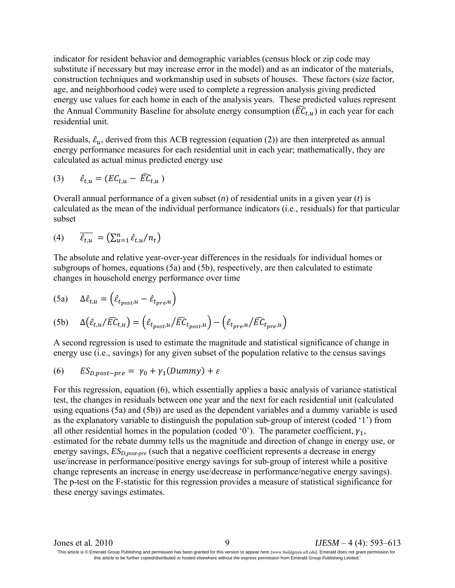indicator for resident behavior and demographic variables (census block or zip code may substitute if necessary but may increase error in the model) and as an indicator of the materials, construction techniques and workmanship used in subsets of houses. These factors (size factor, age, and neighborhood code) were used to complete a regression analysis giving predicted energy use values for each home in each of the analysis years. These predicted values represent the Annual Community Baseline for absolute energy consumption ( $\widehat{EC}_{t,u}$ ) in each year for each residential unit.

Residuals,  $\hat{\epsilon}_u$ , derived from this ACB regression (equation (2)) are then interpreted as annual energy performance measures for each residential unit in each year; mathematically, they are calculated as actual minus predicted energy use

$$
(3) \qquad \hat{\varepsilon}_{t,u} = (EC_{t,u} - \widehat{EC}_{t,u})
$$

Overall annual performance of a given subset (*n*) of residential units in a given year (*t*) is calculated as the mean of the individual performance indicators (i.e., residuals) for that particular subset

$$
(4) \qquad \overline{\hat{\varepsilon}_{t,u}} = \left(\sum_{u=1}^n \hat{\varepsilon}_{t,u}/n_t\right)
$$

The absolute and relative year-over-year differences in the residuals for individual homes or subgroups of homes, equations (5a) and (5b), respectively, are then calculated to estimate changes in household energy performance over time

(5a) 
$$
\Delta \hat{\varepsilon}_{t,u} = \left( \hat{\varepsilon}_{t_{post},u} - \hat{\varepsilon}_{t_{pre},u} \right)
$$

(5b) 
$$
\Delta(\hat{\varepsilon}_{t,u}/\widehat{EC}_{t,u}) = (\hat{\varepsilon}_{t_{post},u}/\widehat{EC}_{t_{post},u}) - (\hat{\varepsilon}_{t_{pre},u}/\widehat{EC}_{t_{pre},u})
$$

A second regression is used to estimate the magnitude and statistical significance of change in energy use (i.e., savings) for any given subset of the population relative to the census savings

$$
(6) \qquad ES_{D,post-pre} = \gamma_0 + \gamma_1(Dummy) + \varepsilon
$$

For this regression, equation (6), which essentially applies a basic analysis of variance statistical test, the changes in residuals between one year and the next for each residential unit (calculated using equations (5a) and (5b)) are used as the dependent variables and a dummy variable is used as the explanatory variable to distinguish the population sub-group of interest (coded '1') from all other residential homes in the population (coded '0'). The parameter coefficient,  $\gamma_1$ , estimated for the rebate dummy tells us the magnitude and direction of change in energy use, or energy savings,  $ES_{D,post-pre}$  (such that a negative coefficient represents a decrease in energy use/increase in performance/positive energy savings for sub-group of interest while a positive change represents an increase in energy use/decrease in performance/negative energy savings). The p-test on the F-statistic for this regression provides a measure of statistical significance for these energy savings estimates.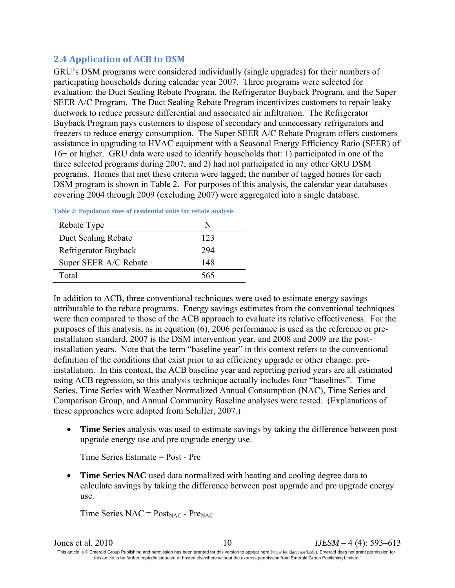# **2.4 Application of ACB to DSM**

GRU's DSM programs were considered individually (single upgrades) for their numbers of participating households during calendar year 2007. Three programs were selected for evaluation: the Duct Sealing Rebate Program, the Refrigerator Buyback Program, and the Super SEER A/C Program. The Duct Sealing Rebate Program incentivizes customers to repair leaky ductwork to reduce pressure differential and associated air infiltration. The Refrigerator Buyback Program pays customers to dispose of secondary and unnecessary refrigerators and freezers to reduce energy consumption. The Super SEER A/C Rebate Program offers customers assistance in upgrading to HVAC equipment with a Seasonal Energy Efficiency Ratio (SEER) of 16+ or higher. GRU data were used to identify households that: 1) participated in one of the three selected programs during 2007; and 2) had not participated in any other GRU DSM programs. Homes that met these criteria were tagged; the number of tagged homes for each DSM program is shown in Table 2. For purposes of this analysis, the calendar year databases covering 2004 through 2009 (excluding 2007) were aggregated into a single database.

| Rebate Type           | N   |
|-----------------------|-----|
| Duct Sealing Rebate   | 123 |
| Refrigerator Buyback  | 294 |
| Super SEER A/C Rebate | 148 |
| Total                 | 565 |

**Table 2: Population sizes of residential units for rebate analysis**

In addition to ACB, three conventional techniques were used to estimate energy savings attributable to the rebate programs. Energy savings estimates from the conventional techniques were then compared to those of the ACB approach to evaluate its relative effectiveness. For the purposes of this analysis, as in equation (6), 2006 performance is used as the reference or preinstallation standard, 2007 is the DSM intervention year, and 2008 and 2009 are the postinstallation years. Note that the term "baseline year" in this context refers to the conventional definition of the conditions that exist prior to an efficiency upgrade or other change: preinstallation. In this context, the ACB baseline year and reporting period years are all estimated using ACB regression, so this analysis technique actually includes four "baselines". Time Series, Time Series with Weather Normalized Annual Consumption (NAC), Time Series and Comparison Group, and Annual Community Baseline analyses were tested. (Explanations of these approaches were adapted from Schiller, 2007.)

• **Time Series** analysis was used to estimate savings by taking the difference between post upgrade energy use and pre upgrade energy use.

Time Series Estimate = Post - Pre

• **Time Series NAC** used data normalized with heating and cooling degree data to calculate savings by taking the difference between post upgrade and pre upgrade energy use.

Time Series  $NAC = Post_{NAC} - Pre_{NAC}$ 

| Jones et al. 2010 |                                                                                                                                                                            | $IJESM - 4(4)$ : 593–613 |
|-------------------|----------------------------------------------------------------------------------------------------------------------------------------------------------------------------|--------------------------|
|                   | This article is © Emerald Group Publishing and permission has been granted for this version to appear here (www.buildgreen.ufl.edu). Emerald does not grant permission for |                          |
|                   | this article to be further copied/distributed or hosted elsewhere without the express permission from Emerald Group Publishing Limited.                                    |                          |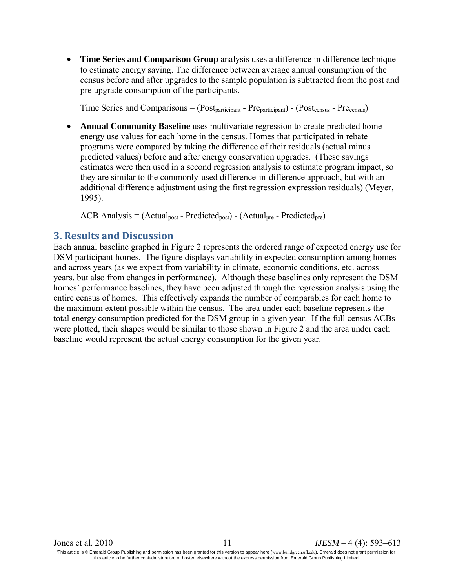• **Time Series and Comparison Group** analysis uses a difference in difference technique to estimate energy saving. The difference between average annual consumption of the census before and after upgrades to the sample population is subtracted from the post and pre upgrade consumption of the participants.

Time Series and Comparisons =  $(Post_{particinant} - Pre_{particinant}) - (Post_{census} - Pre_{census})$ 

• **Annual Community Baseline** uses multivariate regression to create predicted home energy use values for each home in the census. Homes that participated in rebate programs were compared by taking the difference of their residuals (actual minus predicted values) before and after energy conservation upgrades. (These savings estimates were then used in a second regression analysis to estimate program impact, so they are similar to the commonly-used difference-in-difference approach, but with an additional difference adjustment using the first regression expression residuals) (Meyer, 1995).

 $ACB$  Analysis = (Actual<sub>post</sub> - Predicted<sub>post</sub>) - (Actual<sub>pre</sub> - Predicted<sub>pre</sub>)

### **3. Results and Discussion**

Each annual baseline graphed in Figure 2 represents the ordered range of expected energy use for DSM participant homes. The figure displays variability in expected consumption among homes and across years (as we expect from variability in climate, economic conditions, etc. across years, but also from changes in performance). Although these baselines only represent the DSM homes' performance baselines, they have been adjusted through the regression analysis using the entire census of homes. This effectively expands the number of comparables for each home to the maximum extent possible within the census. The area under each baseline represents the total energy consumption predicted for the DSM group in a given year. If the full census ACBs were plotted, their shapes would be similar to those shown in Figure 2 and the area under each baseline would represent the actual energy consumption for the given year.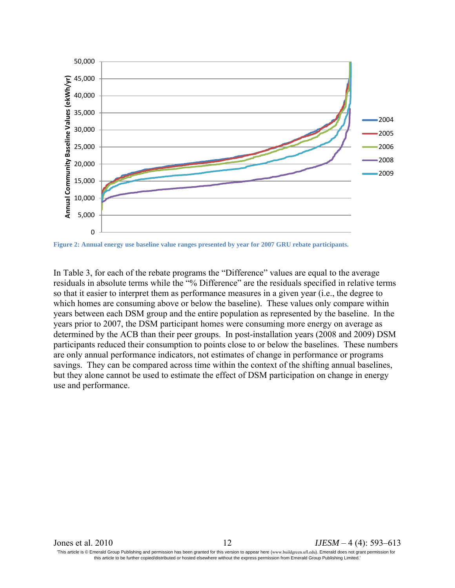

**Figure 2: Annual energy use baseline value ranges presented by year for 2007 GRU rebate participants.**

In Table 3, for each of the rebate programs the "Difference" values are equal to the average residuals in absolute terms while the "% Difference" are the residuals specified in relative terms so that it easier to interpret them as performance measures in a given year (i.e., the degree to which homes are consuming above or below the baseline). These values only compare within years between each DSM group and the entire population as represented by the baseline. In the years prior to 2007, the DSM participant homes were consuming more energy on average as determined by the ACB than their peer groups. In post-installation years (2008 and 2009) DSM participants reduced their consumption to points close to or below the baselines. These numbers are only annual performance indicators, not estimates of change in performance or programs savings. They can be compared across time within the context of the shifting annual baselines, but they alone cannot be used to estimate the effect of DSM participation on change in energy use and performance.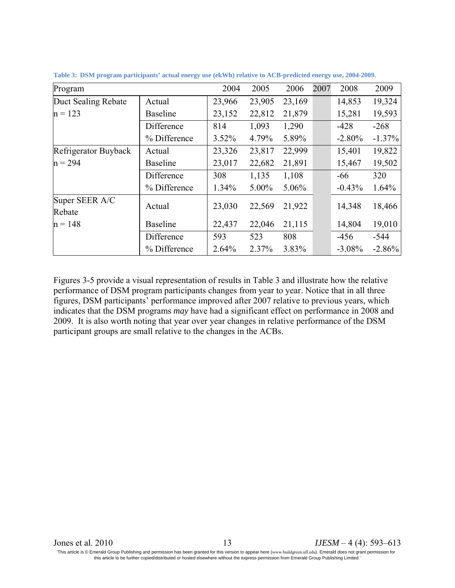| Program                  |                 | 2004     | 2005     | 2006   | 2007 | 2008      | 2009      |
|--------------------------|-----------------|----------|----------|--------|------|-----------|-----------|
| Duct Sealing Rebate      | Actual          | 23,966   | 23,905   | 23,169 |      | 14,853    | 19,324    |
| $n = 123$                | <b>Baseline</b> | 23,152   | 22,812   | 21,879 |      | 15,281    | 19,593    |
|                          | Difference      | 814      | 1,093    | 1,290  |      | $-428$    | $-268$    |
|                          | % Difference    | $3.52\%$ | 4.79%    | 5.89%  |      | $-2.80%$  | $-1.37\%$ |
| Refrigerator Buyback     | Actual          | 23,326   | 23,817   | 22,999 |      | 15,401    | 19,822    |
| $n = 294$                | <b>Baseline</b> | 23,017   | 22,682   | 21,891 |      | 15,467    | 19,502    |
|                          | Difference      | 308      | 1,135    | 1,108  |      | -66       | 320       |
|                          | % Difference    | 1.34%    | $5.00\%$ | 5.06%  |      | $-0.43%$  | 1.64%     |
| Super SEER A/C<br>Rebate | Actual          | 23,030   | 22,569   | 21,922 |      | 14,348    | 18,466    |
| $n = 148$                | <b>Baseline</b> | 22,437   | 22,046   | 21,115 |      | 14,804    | 19,010    |
|                          | Difference      | 593      | 523      | 808    |      | $-456$    | -544      |
|                          | % Difference    | 2.64%    | 2.37%    | 3.83%  |      | $-3.08\%$ | $-2.86%$  |

**Table 3: DSM program participants' actual energy use (ekWh) relative to ACB-predicted energy use, 2004-2009.** 

Figures 3-5 provide a visual representation of results in Table 3 and illustrate how the relative performance of DSM program participants changes from year to year. Notice that in all three figures, DSM participants' performance improved after 2007 relative to previous years, which indicates that the DSM programs *may* have had a significant effect on performance in 2008 and 2009. It is also worth noting that year over year changes in relative performance of the DSM participant groups are small relative to the changes in the ACBs.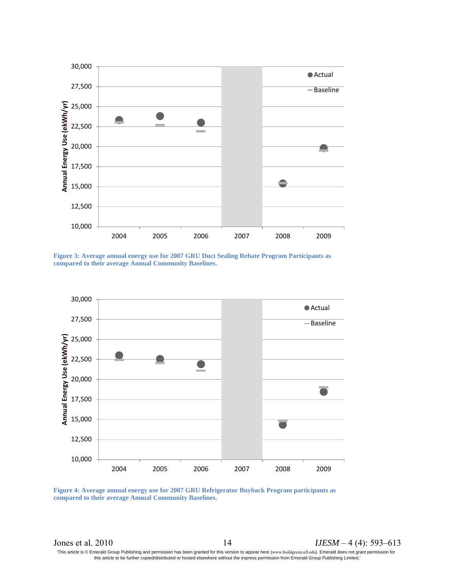





**Figure 4: Average annual energy use for 2007 GRU Refrigerator Buyback Program participants as compared to their average Annual Community Baselines.**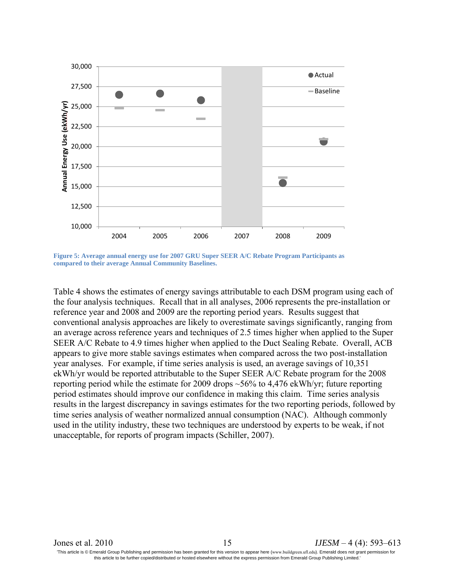

**Figure 5: Average annual energy use for 2007 GRU Super SEER A/C Rebate Program Participants as compared to their average Annual Community Baselines.**

Table 4 shows the estimates of energy savings attributable to each DSM program using each of the four analysis techniques. Recall that in all analyses, 2006 represents the pre-installation or reference year and 2008 and 2009 are the reporting period years. Results suggest that conventional analysis approaches are likely to overestimate savings significantly, ranging from an average across reference years and techniques of 2.5 times higher when applied to the Super SEER A/C Rebate to 4.9 times higher when applied to the Duct Sealing Rebate. Overall, ACB appears to give more stable savings estimates when compared across the two post-installation year analyses. For example, if time series analysis is used, an average savings of 10,351 ekWh/yr would be reported attributable to the Super SEER A/C Rebate program for the 2008 reporting period while the estimate for 2009 drops ~56% to 4,476 ekWh/yr; future reporting period estimates should improve our confidence in making this claim. Time series analysis results in the largest discrepancy in savings estimates for the two reporting periods, followed by time series analysis of weather normalized annual consumption (NAC). Although commonly used in the utility industry, these two techniques are understood by experts to be weak, if not unacceptable, for reports of program impacts (Schiller, 2007).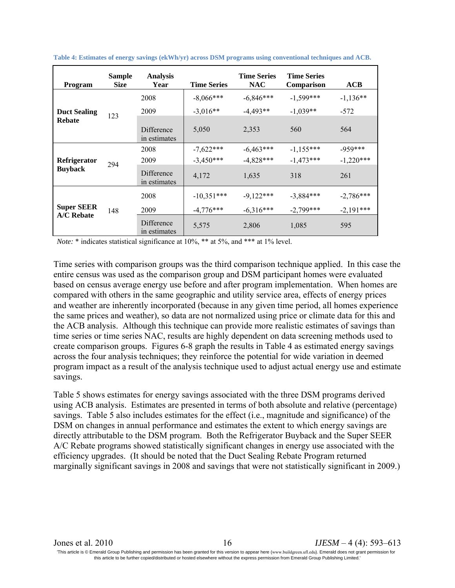| <b>Program</b>                    | <b>Sample</b><br><b>Size</b> | <b>Analysis</b><br>Year    | <b>Time Series</b> | <b>Time Series</b><br><b>NAC</b> | <b>Time Series</b><br>Comparison | ACB         |
|-----------------------------------|------------------------------|----------------------------|--------------------|----------------------------------|----------------------------------|-------------|
|                                   |                              | 2008                       | $-8.066$ ***       | $-6.846***$                      | $-1,599***$                      | $-1.136**$  |
| <b>Duct Sealing</b>               | 123                          | 2009                       | $-3,016**$         | $-4.493**$                       | $-1,039**$                       | $-572$      |
| <b>Rebate</b>                     |                              | Difference<br>in estimates | 5,050              | 2,353                            | 560                              | 564         |
| Refrigerator<br><b>Buyback</b>    | 294                          | 2008                       | $-7,622***$        | $-6,463***$                      | $-1,155***$                      | $-959***$   |
|                                   |                              | 2009                       | $-3.450***$        | $-4,828***$                      | $-1.473***$                      | $-1,220***$ |
|                                   |                              | Difference<br>in estimates | 4,172              | 1,635                            | 318                              | 261         |
|                                   |                              | 2008                       | $-10,351***$       | $-9,122***$                      | $-3.884***$                      | $-2,786***$ |
| <b>Super SEER</b><br>$A/C$ Rebate | 148                          | 2009                       | $-4,776***$        | $-6.316***$                      | $-2,799***$                      | $-2.191***$ |
|                                   |                              | Difference<br>in estimates | 5,575              | 2,806                            | 1,085                            | 595         |

**Table 4: Estimates of energy savings (ekWh/yr) across DSM programs using conventional techniques and ACB.** 

*Note:* \* indicates statistical significance at 10%, \*\* at 5%, and \*\*\* at 1% level.

Time series with comparison groups was the third comparison technique applied. In this case the entire census was used as the comparison group and DSM participant homes were evaluated based on census average energy use before and after program implementation. When homes are compared with others in the same geographic and utility service area, effects of energy prices and weather are inherently incorporated (because in any given time period, all homes experience the same prices and weather), so data are not normalized using price or climate data for this and the ACB analysis. Although this technique can provide more realistic estimates of savings than time series or time series NAC, results are highly dependent on data screening methods used to create comparison groups. Figures 6-8 graph the results in Table 4 as estimated energy savings across the four analysis techniques; they reinforce the potential for wide variation in deemed program impact as a result of the analysis technique used to adjust actual energy use and estimate savings.

Table 5 shows estimates for energy savings associated with the three DSM programs derived using ACB analysis. Estimates are presented in terms of both absolute and relative (percentage) savings. Table 5 also includes estimates for the effect (i.e., magnitude and significance) of the DSM on changes in annual performance and estimates the extent to which energy savings are directly attributable to the DSM program. Both the Refrigerator Buyback and the Super SEER A/C Rebate programs showed statistically significant changes in energy use associated with the efficiency upgrades. (It should be noted that the Duct Sealing Rebate Program returned marginally significant savings in 2008 and savings that were not statistically significant in 2009.)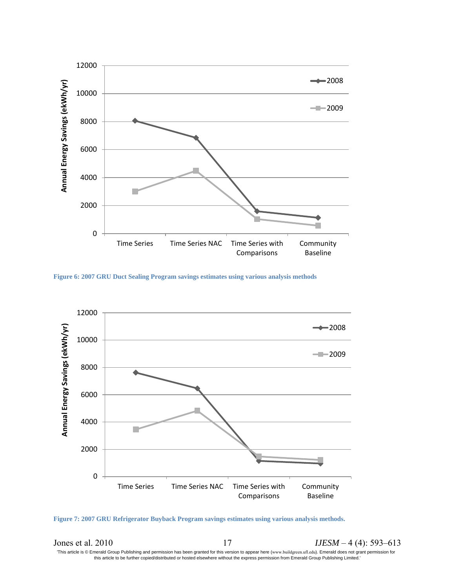

**Figure 6: 2007 GRU Duct Sealing Program savings estimates using various analysis methods**



**Figure 7: 2007 GRU Refrigerator Buyback Program savings estimates using various analysis methods.**

Jones et al. 2010 17 *IJESM* – 4 (4): 593–613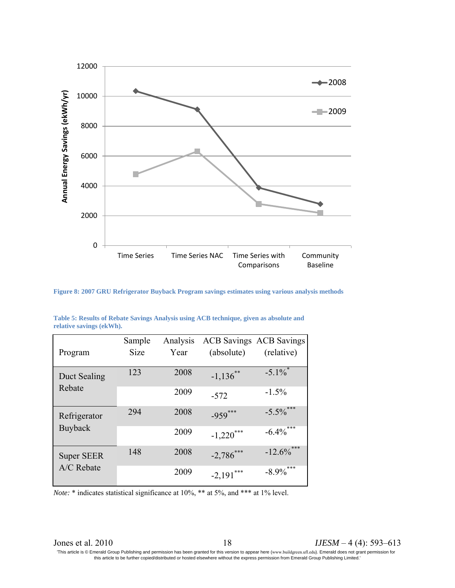

**Figure 8: 2007 GRU Refrigerator Buyback Program savings estimates using various analysis methods**

|                                 | Sample      | Analysis |              | <b>ACB Savings ACB Savings</b> |
|---------------------------------|-------------|----------|--------------|--------------------------------|
| Program                         | <b>Size</b> | Year     | (absolute)   | (relative)                     |
|                                 |             |          |              |                                |
| Duct Sealing<br>Rebate          | 123         | 2008     | $-1,136$ **  | $-5.1\%$                       |
|                                 |             | 2009     | $-572$       | $-1.5\%$                       |
| Refrigerator<br><b>Buyback</b>  | 294         | 2008     | $-959***$    | $-5.5\%$ ***                   |
|                                 |             | 2009     | $-1,220***$  | $-6.4\%$ ***                   |
| <b>Super SEER</b><br>A/C Rebate | 148         | 2008     | $-2,786$ *** | $-12.6\%$ ***                  |
|                                 |             | 2009     | $-2,191***$  | $-8.9\%$ ***                   |

**Table 5: Results of Rebate Savings Analysis using ACB technique, given as absolute and relative savings (ekWh).** 

*Note:* \* indicates statistical significance at 10%, \*\* at 5%, and \*\*\* at 1% level.

Jones et al. 2010 18 *IJESM* – 4 (4): 593–613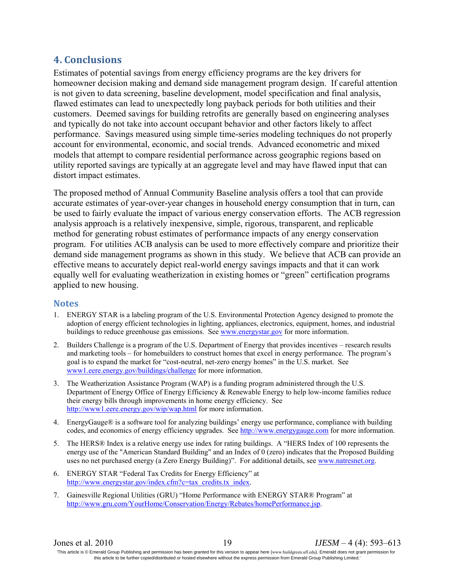# **4. Conclusions**

Estimates of potential savings from energy efficiency programs are the key drivers for homeowner decision making and demand side management program design. If careful attention is not given to data screening, baseline development, model specification and final analysis, flawed estimates can lead to unexpectedly long payback periods for both utilities and their customers. Deemed savings for building retrofits are generally based on engineering analyses and typically do not take into account occupant behavior and other factors likely to affect performance. Savings measured using simple time-series modeling techniques do not properly account for environmental, economic, and social trends. Advanced econometric and mixed models that attempt to compare residential performance across geographic regions based on utility reported savings are typically at an aggregate level and may have flawed input that can distort impact estimates.

The proposed method of Annual Community Baseline analysis offers a tool that can provide accurate estimates of year-over-year changes in household energy consumption that in turn, can be used to fairly evaluate the impact of various energy conservation efforts. The ACB regression analysis approach is a relatively inexpensive, simple, rigorous, transparent, and replicable method for generating robust estimates of performance impacts of any energy conservation program. For utilities ACB analysis can be used to more effectively compare and prioritize their demand side management programs as shown in this study. We believe that ACB can provide an effective means to accurately depict real-world energy savings impacts and that it can work equally well for evaluating weatherization in existing homes or "green" certification programs applied to new housing.

### **Notes**

- 1. ENERGY STAR is a labeling program of the U.S. Environmental Protection Agency designed to promote the adoption of energy efficient technologies in lighting, appliances, electronics, equipment, homes, and industrial buildings to reduce greenhouse gas emissions. See [www.energystar.gov](http://www.energystar.gov/) for more information.
- 2. Builders Challenge is a program of the U.S. Department of Energy that provides incentives research results and marketing tools – for homebuilders to construct homes that excel in energy performance. The program's goal is to expand the market for "cost-neutral, net-zero energy homes" in the U.S. market. See [www1.eere.energy.gov/buildings/challenge](http://www1.eere.energy.gov/buildings/challenge) for more information.
- 3. The Weatherization Assistance Program (WAP) is a funding program administered through the U.S. Department of Energy Office of Energy Efficiency & Renewable Energy to help low-income families reduce their energy bills through improvements in home energy efficiency. See <http://www1.eere.energy.gov/wip/wap.html> for more information.
- 4. EnergyGauge® is a software tool for analyzing buildings' energy use performance, compliance with building codes, and economics of energy efficiency upgrades. See [http://www.energygauge.com](http://www.energygauge.com/) for more information.
- 5. The HERS® Index is a relative energy use index for rating buildings. A "HERS Index of 100 represents the energy use of the "American Standard Building" and an Index of 0 (zero) indicates that the Proposed Building uses no net purchased energy (a Zero Energy Building)". For additional details, see [www.natresnet.org.](http://www.natresnet.org/)
- 6. ENERGY STAR "Federal Tax Credits for Energy Efficiency" at [http://www.energystar.gov/index.cfm?c=tax\\_credits.tx\\_index.](http://www.energystar.gov/index.cfm?c=tax_credits.tx_index)
- 7. Gainesville Regional Utilities (GRU) "Home Performance with ENERGY STAR® Program" at [http://www.gru.com/YourHome/Conservation/Energy/Rebates/homePerformance.jsp.](http://www.gru.com/YourHome/Conservation/Energy/Rebates/homePerformance.jsp)

Jones et al. 2010 19 *IJESM* – 4 (4): 593–613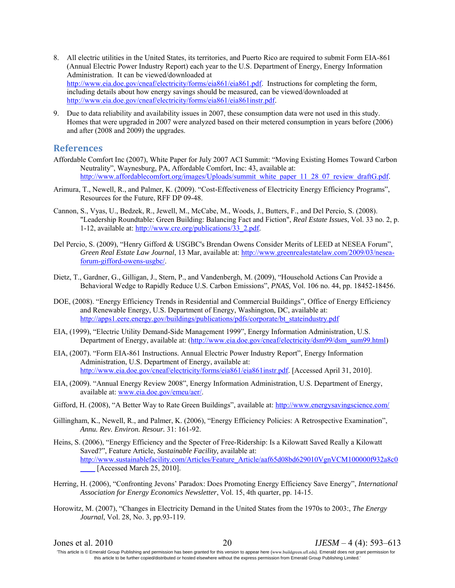- 8. All electric utilities in the United States, its territories, and Puerto Rico are required to submit Form EIA-861 (Annual Electric Power Industry Report) each year to the U.S. Department of Energy, Energy Information Administration. It can be viewed/downloaded at [http://www.eia.doe.gov/cneaf/electricity/forms/eia861/eia861.pdf.](http://www.eia.doe.gov/cneaf/electricity/forms/eia861/eia861.pdf) Instructions for completing the form, including details about how energy savings should be measured, can be viewed/downloaded at [http://www.eia.doe.gov/cneaf/electricity/forms/eia861/eia861instr.pdf.](http://www.eia.doe.gov/cneaf/electricity/forms/eia861/eia861instr.pdf)
- 9. Due to data reliability and availability issues in 2007, these consumption data were not used in this study. Homes that were upgraded in 2007 were analyzed based on their metered consumption in years before (2006) and after (2008 and 2009) the upgrades.

#### **References**

- Affordable Comfort Inc (2007), White Paper for July 2007 ACI Summit: "Moving Existing Homes Toward Carbon Neutrality", Waynesburg, PA, Affordable Comfort, Inc: 43, available at: [http://www.affordablecomfort.org/images/Uploads/summit\\_white\\_paper\\_11\\_28\\_07\\_review\\_draftG.pdf.](http://www.affordablecomfort.org/images/Uploads/summit_white_paper_11_28_07_review_draftG.pdf)
- Arimura, T., Newell, R., and Palmer, K. (2009). "Cost-Effectiveness of Electricity Energy Efficiency Programs", Resources for the Future, RFF DP 09-48.
- Cannon, S., Vyas, U., Bedzek, R., Jewell, M., McCabe, M., Woods, J., Butters, F., and Del Percio, S. (2008). "Leadership Roundtable: Green Building: Balancing Fact and Fiction", *Real Estate Issues*, Vol. 33 no. 2, p. 1-12, available at: [http://www.cre.org/publications/33\\_2.pdf.](http://www.cre.org/publications/33_2.pdf)
- Del Percio, S. (2009), "Henry Gifford & USGBC's Brendan Owens Consider Merits of LEED at NESEA Forum", *Green Real Estate Law Journal*, 13 Mar, available at: [http://www.greenrealestatelaw.com/2009/03/nesea](http://www.greenrealestatelaw.com/2009/03/nesea-forum-gifford-owens-usgbc/)[forum-gifford-owens-usgbc/.](http://www.greenrealestatelaw.com/2009/03/nesea-forum-gifford-owens-usgbc/)
- Dietz, T., Gardner, G., Gilligan, J., Stern, P., and Vandenbergh, M. (2009), "Household Actions Can Provide a Behavioral Wedge to Rapidly Reduce U.S. Carbon Emissions", *PNAS,* Vol. 106 no. 44, pp. 18452-18456.
- DOE, (2008). "Energy Efficiency Trends in Residential and Commercial Buildings", Office of Energy Efficiency and Renewable Energy, U.S. Department of Energy, Washington, DC, available at: [http://apps1.eere.energy.gov/buildings/publications/pdfs/corporate/bt\\_stateindustry.pdf](http://apps1.eere.energy.gov/buildings/publications/pdfs/corporate/bt_stateindustry.pdf)
- EIA, (1999), "Electric Utility Demand-Side Management 1999", Energy Information Administration, U.S. Department of Energy, available at: [\(http://www.eia.doe.gov/cneaf/electricity/dsm99/dsm\\_sum99.html\)](http://www.eia.doe.gov/cneaf/electricity/dsm99/dsm_sum99.html)
- EIA, (2007). "Form EIA-861 Instructions. Annual Electric Power Industry Report", Energy Information Administration, U.S. Department of Energy, available at: [http://www.eia.doe.gov/cneaf/electricity/forms/eia861/eia861instr.pdf.](http://www.eia.doe.gov/cneaf/electricity/forms/eia861/eia861instr.pdf) [Accessed April 31, 2010].
- EIA, (2009). "Annual Energy Review 2008", Energy Information Administration, U.S. Department of Energy, available at: [www.eia.doe.gov/emeu/aer/.](http://www.eia.doe.gov/emeu/aer/)
- Gifford, H. (2008), "A Better Way to Rate Green Buildings", available at:<http://www.energysavingscience.com/>
- Gillingham, K., Newell, R., and Palmer, K. (2006), "Energy Efficiency Policies: A Retrospective Examination", *Annu. Rev. Environ. Resour.* 31: 161-92.
- Heins, S. (2006), "Energy Efficiency and the Specter of Free-Ridership: Is a Kilowatt Saved Really a Kilowatt Saved?", Feature Article, *Sustainable Facility,* available at: [http://www.sustainablefacility.com/Articles/Feature\\_Article/aaf65d08bd629010VgnVCM100000f932a8c0](http://www.sustainablefacility.com/Articles/Feature_Article/aaf65d08bd629010VgnVCM100000f932a8c0____) [Accessed March 25, 2010].
- Herring, H. (2006), "Confronting Jevons' Paradox: Does Promoting Energy Efficiency Save Energy", *International Association for Energy Economics Newsletter*, Vol. 15, 4th quarter, pp. 14-15.
- Horowitz, M. (2007), "Changes in Electricity Demand in the United States from the 1970s to 2003:, *The Energy Journal*, Vol. 28, No. 3, pp.93-119.

Jones et al. 2010 20 *IJESM* – 4 (4): 593–613